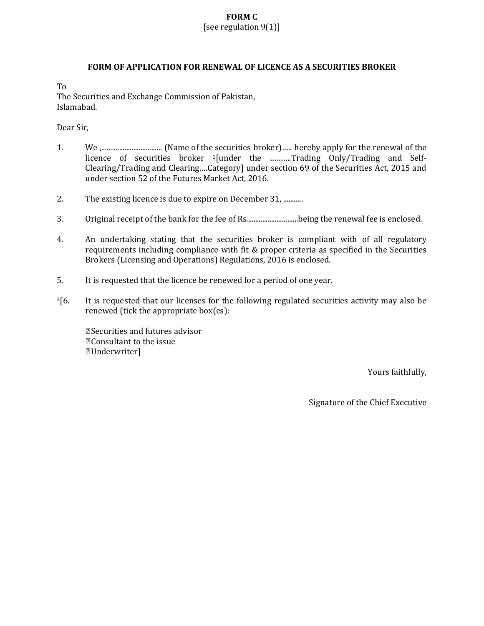#### **FORM C** [see regulation 9(1)]

#### **FORM OF APPLICATION FOR RENEWAL OF LICENCE AS A SECURITIES BROKER**

To

The Securities and Exchange Commission of Pakistan, Islamabad.

Dear Sir,

- 1. We ,.................................. (Name of the securities broker)….. hereby apply for the renewal of the licence of securities broker <sup>2</sup>[under the ..........Trading Only/Trading and Self-Clearing/Trading and Clearing….Category] under section 69 of the Securities Act, 2015 and under section 52 of the Futures Market Act, 2016.
- 2. The existing licence is due to expire on December 31, ...........
- 3. Original receipt of the bank for the fee of Rs.............................being the renewal fee is enclosed.
- 4. An undertaking stating that the securities broker is compliant with of all regulatory requirements including compliance with fit & proper criteria as specified in the Securities Brokers (Licensing and Operations) Regulations, 2016 is enclosed.
- 5. It is requested that the licence be renewed for a period of one year.
- $3[6.$  It is requested that our licenses for the following regulated securities activity may also be renewed (tick the appropriate box(es):

Securities and futures advisor Consultant to the issue Underwriter]

Yours faithfully,

Signature of the Chief Executive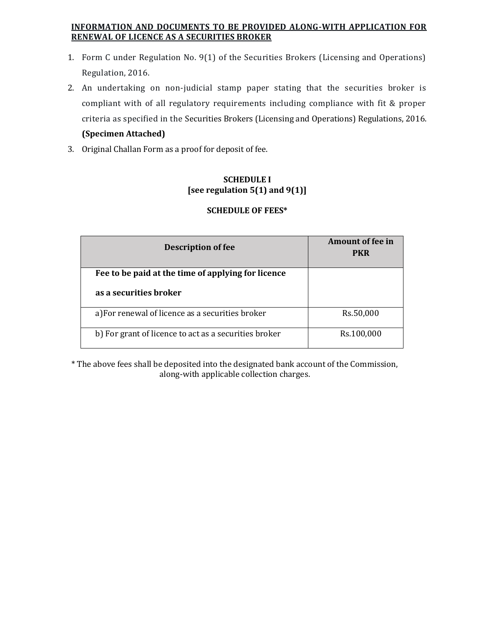## **INFORMATION AND DOCUMENTS TO BE PROVIDED ALONG-WITH APPLICATION FOR RENEWAL OF LICENCE AS A SECURITIES BROKER**

- 1. Form C under Regulation No. 9(1) of the Securities Brokers (Licensing and Operations) Regulation, 2016.
- 2. An undertaking on non-judicial stamp paper stating that the securities broker is compliant with of all regulatory requirements including compliance with fit & proper criteria as specified in the Securities Brokers (Licensing and Operations) Regulations, 2016. **(Specimen Attached)**
- 3. Original Challan Form as a proof for deposit of fee.

## **SCHEDULE I [see regulation 5(1) and 9(1)]**

## **SCHEDULE OF FEES\***

| <b>Description of fee</b>                                                    | <b>Amount of fee in</b><br><b>PKR</b> |
|------------------------------------------------------------------------------|---------------------------------------|
| Fee to be paid at the time of applying for licence<br>as a securities broker |                                       |
| a) For renewal of licence as a securities broker                             | Rs.50,000                             |
| b) For grant of licence to act as a securities broker                        | Rs.100,000                            |

\* The above fees shall be deposited into the designated bank account of the Commission, along-with applicable collection charges.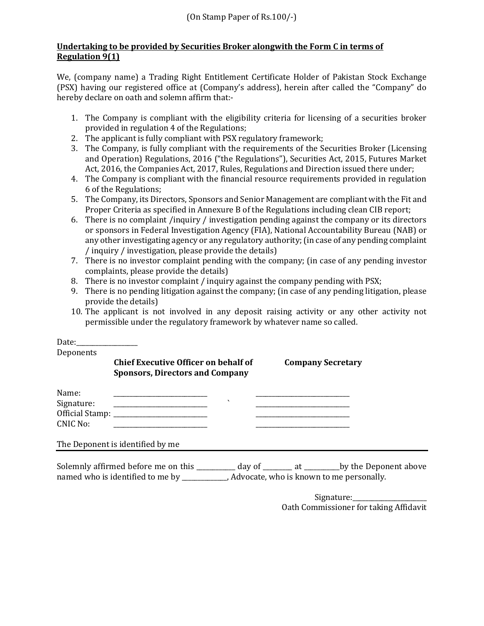### **Undertaking to be provided by Securities Broker alongwith the Form C in terms of Regulation 9(1)**

We, (company name) a Trading Right Entitlement Certificate Holder of Pakistan Stock Exchange (PSX) having our registered office at (Company's address), herein after called the "Company" do hereby declare on oath and solemn affirm that:-

- 1. The Company is compliant with the eligibility criteria for licensing of a securities broker provided in regulation 4 of the Regulations;
- 2. The applicant is fully compliant with PSX regulatory framework;
- 3. The Company, is fully compliant with the requirements of the Securities Broker (Licensing and Operation) Regulations, 2016 ("the Regulations"), Securities Act, 2015, Futures Market Act, 2016, the Companies Act, 2017, Rules, Regulations and Direction issued there under;
- 4. The Company is compliant with the financial resource requirements provided in regulation 6 of the Regulations;
- 5. The Company, its Directors, Sponsors and Senior Management are compliant with the Fit and Proper Criteria as specified in Annexure B of the Regulations including clean CIB report;
- 6. There is no complaint /inquiry / investigation pending against the company or its directors or sponsors in Federal Investigation Agency (FIA), National Accountability Bureau (NAB) or any other investigating agency or any regulatory authority; (in case of any pending complaint / inquiry / investigation, please provide the details)
- 7. There is no investor complaint pending with the company; (in case of any pending investor complaints, please provide the details)
- 8. There is no investor complaint / inquiry against the company pending with PSX;
- 9. There is no pending litigation against the company; (in case of any pending litigation, please provide the details)
- 10. The applicant is not involved in any deposit raising activity or any other activity not permissible under the regulatory framework by whatever name so called.

| Date: $\qquad \qquad$                                                                          |                                                                                       |                          |                          |
|------------------------------------------------------------------------------------------------|---------------------------------------------------------------------------------------|--------------------------|--------------------------|
| Deponents                                                                                      |                                                                                       |                          |                          |
|                                                                                                | <b>Chief Executive Officer on behalf of</b><br><b>Sponsors, Directors and Company</b> |                          | <b>Company Secretary</b> |
| Name:<br>Signature:<br>CNIC No:                                                                |                                                                                       | $\overline{\phantom{0}}$ |                          |
|                                                                                                | The Deponent is identified by me                                                      |                          |                          |
| Solemnly affirmed before me on this __________ day of _______ at ________by the Deponent above |                                                                                       |                          |                          |
|                                                                                                |                                                                                       |                          | Cianation                |

Signature: Oath Commissioner for taking Affidavit